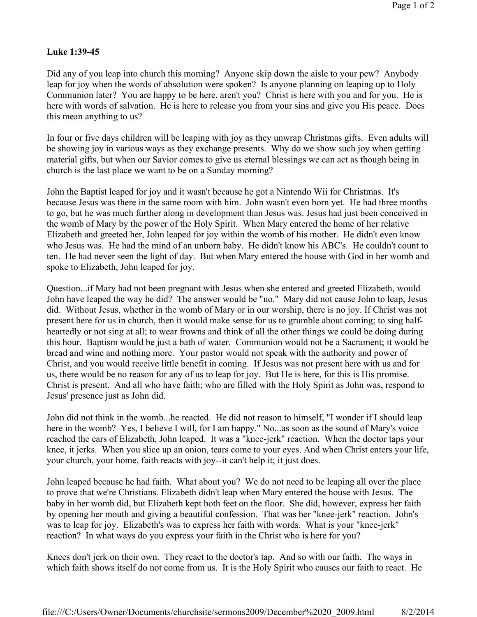## **Luke 1:39-45**

Did any of you leap into church this morning? Anyone skip down the aisle to your pew? Anybody leap for joy when the words of absolution were spoken? Is anyone planning on leaping up to Holy Communion later? You are happy to be here, aren't you? Christ is here with you and for you. He is here with words of salvation. He is here to release you from your sins and give you His peace. Does this mean anything to us?

In four or five days children will be leaping with joy as they unwrap Christmas gifts. Even adults will be showing joy in various ways as they exchange presents. Why do we show such joy when getting material gifts, but when our Savior comes to give us eternal blessings we can act as though being in church is the last place we want to be on a Sunday morning?

John the Baptist leaped for joy and it wasn't because he got a Nintendo Wii for Christmas. It's because Jesus was there in the same room with him. John wasn't even born yet. He had three months to go, but he was much further along in development than Jesus was. Jesus had just been conceived in the womb of Mary by the power of the Holy Spirit. When Mary entered the home of her relative Elizabeth and greeted her, John leaped for joy within the womb of his mother. He didn't even know who Jesus was. He had the mind of an unborn baby. He didn't know his ABC's. He couldn't count to ten. He had never seen the light of day. But when Mary entered the house with God in her womb and spoke to Elizabeth, John leaped for joy.

Question...if Mary had not been pregnant with Jesus when she entered and greeted Elizabeth, would John have leaped the way he did? The answer would be "no." Mary did not cause John to leap, Jesus did. Without Jesus, whether in the womb of Mary or in our worship, there is no joy. If Christ was not present here for us in church, then it would make sense for us to grumble about coming; to sing halfheartedly or not sing at all; to wear frowns and think of all the other things we could be doing during this hour. Baptism would be just a bath of water. Communion would not be a Sacrament; it would be bread and wine and nothing more. Your pastor would not speak with the authority and power of Christ, and you would receive little benefit in coming. If Jesus was not present here with us and for us, there would be no reason for any of us to leap for joy. But He is here, for this is His promise. Christ is present. And all who have faith; who are filled with the Holy Spirit as John was, respond to Jesus' presence just as John did.

John did not think in the womb...he reacted. He did not reason to himself, "I wonder if I should leap here in the womb? Yes, I believe I will, for I am happy." No...as soon as the sound of Mary's voice reached the ears of Elizabeth, John leaped. It was a "knee-jerk" reaction. When the doctor taps your knee, it jerks. When you slice up an onion, tears come to your eyes. And when Christ enters your life, your church, your home, faith reacts with joy--it can't help it; it just does.

John leaped because he had faith. What about you? We do not need to be leaping all over the place to prove that we're Christians. Elizabeth didn't leap when Mary entered the house with Jesus. The baby in her womb did, but Elizabeth kept both feet on the floor. She did, however, express her faith by opening her mouth and giving a beautiful confession. That was her "knee-jerk" reaction. John's was to leap for joy. Elizabeth's was to express her faith with words. What is your "knee-jerk" reaction? In what ways do you express your faith in the Christ who is here for you?

Knees don't jerk on their own. They react to the doctor's tap. And so with our faith. The ways in which faith shows itself do not come from us. It is the Holy Spirit who causes our faith to react. He